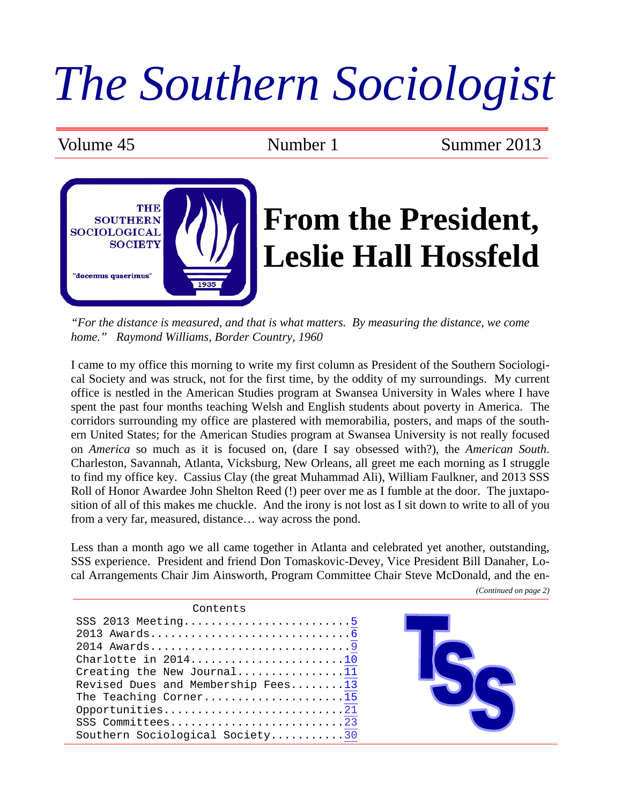## *The Southern Sociologist*

Volume 45 Number 1 Summer 2013



*"For the distance is measured, and that is what matters. By measuring the distance, we come home." Raymond Williams, Border Country, 1960* 

I came to my office this morning to write my first column as President of the Southern Sociological Society and was struck, not for the first time, by the oddity of my surroundings. My current office is nestled in the American Studies program at Swansea University in Wales where I have spent the past four months teaching Welsh and English students about poverty in America. The corridors surrounding my office are plastered with memorabilia, posters, and maps of the southern United States; for the American Studies program at Swansea University is not really focused on *America* so much as it is focused on, (dare I say obsessed with?), the *American South*. Charleston, Savannah, Atlanta, Vicksburg, New Orleans, all greet me each morning as I struggle to find my office key. Cassius Clay (the great Muhammad Ali), William Faulkner, and 2013 SSS Roll of Honor Awardee John Shelton Reed (!) peer over me as I fumble at the door. The juxtaposition of all of this makes me chuckle. And the irony is not lost as I sit down to write to all of you from a very far, measured, distance… way across the pond.

Less than a month ago we all came together in Atlanta and celebrated yet another, outstanding, SSS experience. President and friend Don Tomaskovic-Devey, Vice President Bill Danaher, Local Arrangements Chair Jim Ainsworth, Program Committee Chair Steve McDonald, and the en-

Contents SSS 2013 Meeting...............................[.5](#page-4-0) 2013 Awards.............................[.6](#page-5-0) 2014 Awards.............................[.9](#page-8-0) Charlotte in 2014..........................[.10](#page-9-0) Creating the New Journal...............[.11](#page-10-0) Revised Dues and Membership Fees.......[.13](#page-12-0) The Teaching Corner......................[.15](#page-14-0) Opportunities........................... SSS Committees...........................[..23](#page-22-0) Southern Sociological Society.........[..30](#page-29-0)

*(Continued on page 2)*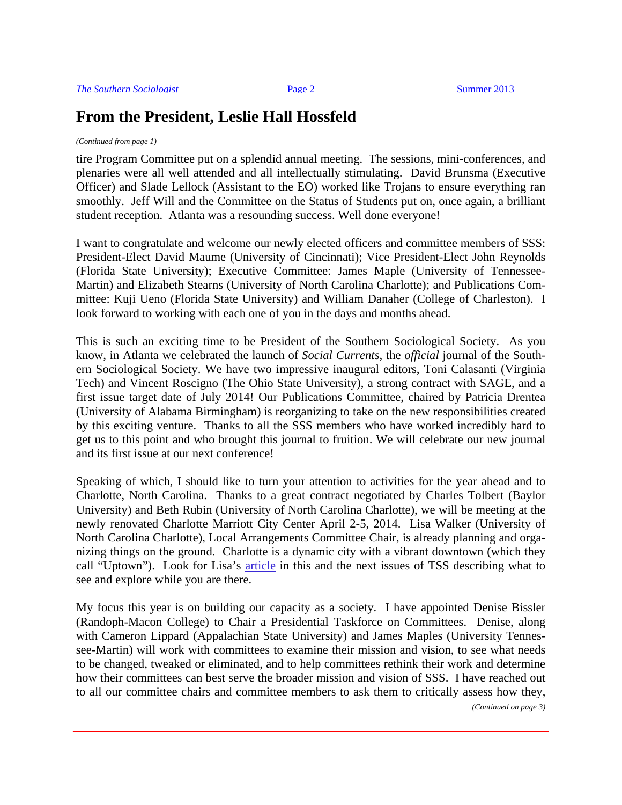#### **From the President, Leslie Hall Hossfeld**

#### *(Continued from page 1)*

tire Program Committee put on a splendid annual meeting. The sessions, mini-conferences, and plenaries were all well attended and all intellectually stimulating. David Brunsma (Executive Officer) and Slade Lellock (Assistant to the EO) worked like Trojans to ensure everything ran smoothly. Jeff Will and the Committee on the Status of Students put on, once again, a brilliant student reception. Atlanta was a resounding success. Well done everyone!

I want to congratulate and welcome our newly elected officers and committee members of SSS: President-Elect David Maume (University of Cincinnati); Vice President-Elect John Reynolds (Florida State University); Executive Committee: James Maple (University of Tennessee-Martin) and Elizabeth Stearns (University of North Carolina Charlotte); and Publications Committee: Kuji Ueno (Florida State University) and William Danaher (College of Charleston). I look forward to working with each one of you in the days and months ahead.

This is such an exciting time to be President of the Southern Sociological Society. As you know, in Atlanta we celebrated the launch of *Social Currents*, the *official* journal of the Southern Sociological Society. We have two impressive inaugural editors, Toni Calasanti (Virginia Tech) and Vincent Roscigno (The Ohio State University), a strong contract with SAGE, and a first issue target date of July 2014! Our Publications Committee, chaired by Patricia Drentea (University of Alabama Birmingham) is reorganizing to take on the new responsibilities created by this exciting venture. Thanks to all the SSS members who have worked incredibly hard to get us to this point and who brought this journal to fruition. We will celebrate our new journal and its first issue at our next conference!

Speaking of which, I should like to turn your attention to activities for the year ahead and to Charlotte, North Carolina. Thanks to a great contract negotiated by Charles Tolbert (Baylor University) and Beth Rubin (University of North Carolina Charlotte), we will be meeting at the newly renovated Charlotte Marriott City Center April 2-5, 2014. Lisa Walker (University of North Carolina Charlotte), Local Arrangements Committee Chair, is already planning and organizing things on the ground. Charlotte is a dynamic city with a vibrant downtown (which they call "Uptown"). Look for Lisa's [article i](#page-9-0)n this and the next issues of TSS describing what to see and explore while you are there.

My focus this year is on building our capacity as a society. I have appointed Denise Bissler (Randoph-Macon College) to Chair a Presidential Taskforce on Committees. Denise, along with Cameron Lippard (Appalachian State University) and James Maples (University Tennessee-Martin) will work with committees to examine their mission and vision, to see what needs to be changed, tweaked or eliminated, and to help committees rethink their work and determine how their committees can best serve the broader mission and vision of SSS. I have reached out to all our committee chairs and committee members to ask them to critically assess how they,

*(Continued on page 3)*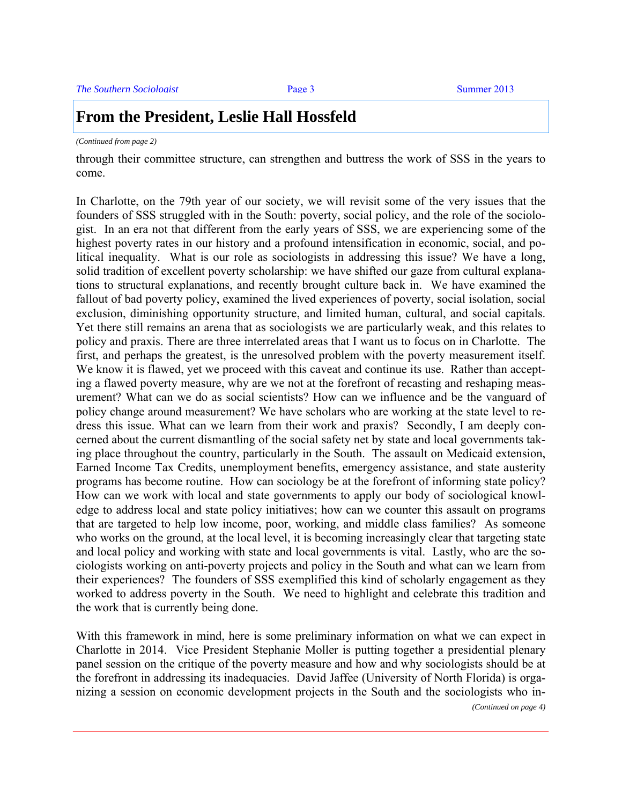#### **From the President, Leslie Hall Hossfeld**

#### *(Continued from page 2)*

through their committee structure, can strengthen and buttress the work of SSS in the years to come.

In Charlotte, on the 79th year of our society, we will revisit some of the very issues that the founders of SSS struggled with in the South: poverty, social policy, and the role of the sociologist. In an era not that different from the early years of SSS, we are experiencing some of the highest poverty rates in our history and a profound intensification in economic, social, and political inequality. What is our role as sociologists in addressing this issue? We have a long, solid tradition of excellent poverty scholarship: we have shifted our gaze from cultural explanations to structural explanations, and recently brought culture back in. We have examined the fallout of bad poverty policy, examined the lived experiences of poverty, social isolation, social exclusion, diminishing opportunity structure, and limited human, cultural, and social capitals. Yet there still remains an arena that as sociologists we are particularly weak, and this relates to policy and praxis. There are three interrelated areas that I want us to focus on in Charlotte. The first, and perhaps the greatest, is the unresolved problem with the poverty measurement itself. We know it is flawed, yet we proceed with this caveat and continue its use. Rather than accepting a flawed poverty measure, why are we not at the forefront of recasting and reshaping measurement? What can we do as social scientists? How can we influence and be the vanguard of policy change around measurement? We have scholars who are working at the state level to redress this issue. What can we learn from their work and praxis? Secondly, I am deeply concerned about the current dismantling of the social safety net by state and local governments taking place throughout the country, particularly in the South. The assault on Medicaid extension, Earned Income Tax Credits, unemployment benefits, emergency assistance, and state austerity programs has become routine. How can sociology be at the forefront of informing state policy? How can we work with local and state governments to apply our body of sociological knowledge to address local and state policy initiatives; how can we counter this assault on programs that are targeted to help low income, poor, working, and middle class families? As someone who works on the ground, at the local level, it is becoming increasingly clear that targeting state and local policy and working with state and local governments is vital. Lastly, who are the sociologists working on anti-poverty projects and policy in the South and what can we learn from their experiences? The founders of SSS exemplified this kind of scholarly engagement as they worked to address poverty in the South. We need to highlight and celebrate this tradition and the work that is currently being done.

With this framework in mind, here is some preliminary information on what we can expect in Charlotte in 2014. Vice President Stephanie Moller is putting together a presidential plenary panel session on the critique of the poverty measure and how and why sociologists should be at the forefront in addressing its inadequacies. David Jaffee (University of North Florida) is organizing a session on economic development projects in the South and the sociologists who in- *(Continued on page 4)*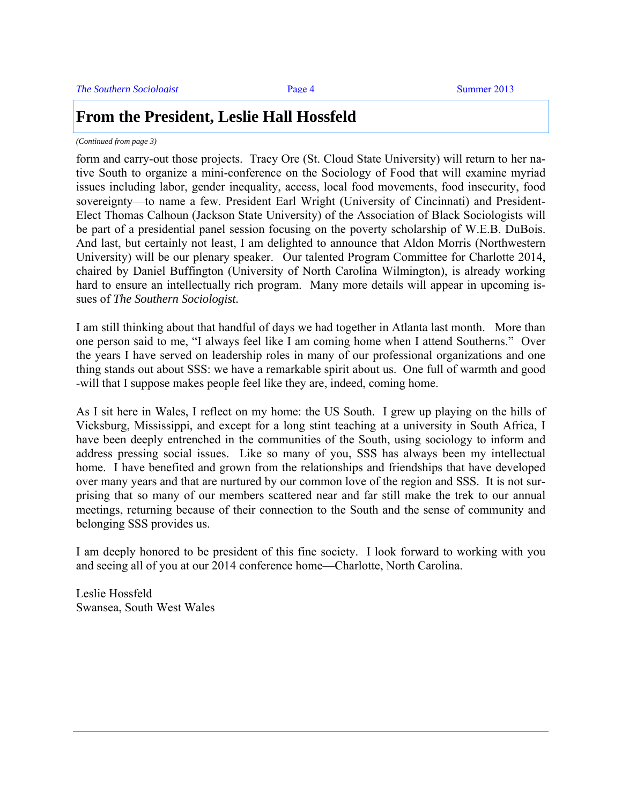#### **From the President, Leslie Hall Hossfeld**

*(Continued from page 3)* 

form and carry-out those projects. Tracy Ore (St. Cloud State University) will return to her native South to organize a mini-conference on the Sociology of Food that will examine myriad issues including labor, gender inequality, access, local food movements, food insecurity, food sovereignty—to name a few. President Earl Wright (University of Cincinnati) and President-Elect Thomas Calhoun (Jackson State University) of the Association of Black Sociologists will be part of a presidential panel session focusing on the poverty scholarship of W.E.B. DuBois. And last, but certainly not least, I am delighted to announce that Aldon Morris (Northwestern University) will be our plenary speaker.Our talented Program Committee for Charlotte 2014, chaired by Daniel Buffington (University of North Carolina Wilmington), is already working hard to ensure an intellectually rich program. Many more details will appear in upcoming issues of *The Southern Sociologist.* 

I am still thinking about that handful of days we had together in Atlanta last month. More than one person said to me, "I always feel like I am coming home when I attend Southerns." Over the years I have served on leadership roles in many of our professional organizations and one thing stands out about SSS: we have a remarkable spirit about us. One full of warmth and good -will that I suppose makes people feel like they are, indeed, coming home.

As I sit here in Wales, I reflect on my home: the US South. I grew up playing on the hills of Vicksburg, Mississippi, and except for a long stint teaching at a university in South Africa, I have been deeply entrenched in the communities of the South, using sociology to inform and address pressing social issues. Like so many of you, SSS has always been my intellectual home. I have benefited and grown from the relationships and friendships that have developed over many years and that are nurtured by our common love of the region and SSS. It is not surprising that so many of our members scattered near and far still make the trek to our annual meetings, returning because of their connection to the South and the sense of community and belonging SSS provides us.

I am deeply honored to be president of this fine society. I look forward to working with you and seeing all of you at our 2014 conference home—Charlotte, North Carolina.

Leslie Hossfeld Swansea, South West Wales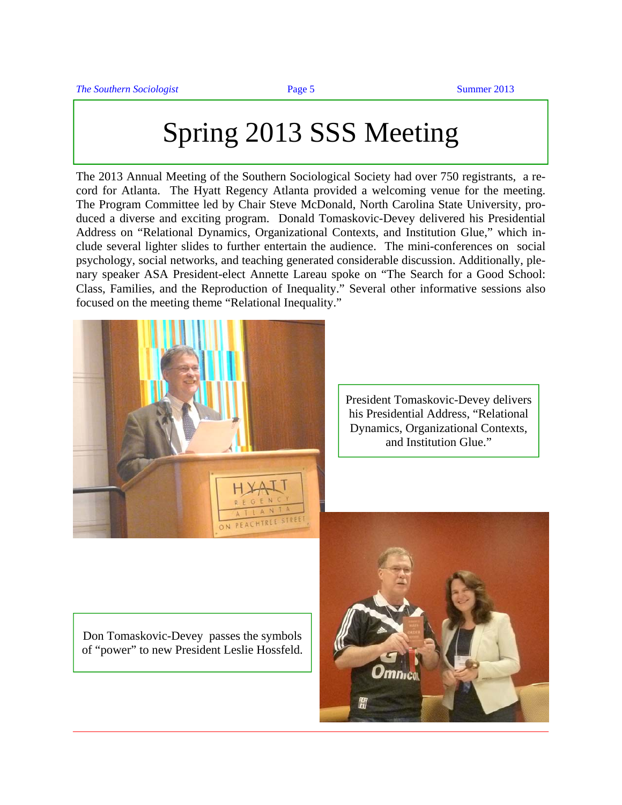## Spring 2013 SSS Meeting

<span id="page-4-0"></span>The 2013 Annual Meeting of the Southern Sociological Society had over 750 registrants, a record for Atlanta. The Hyatt Regency Atlanta provided a welcoming venue for the meeting. The Program Committee led by Chair Steve McDonald, North Carolina State University, produced a diverse and exciting program. Donald Tomaskovic-Devey delivered his Presidential Address on "Relational Dynamics, Organizational Contexts, and Institution Glue," which include several lighter slides to further entertain the audience. The mini-conferences on social psychology, social networks, and teaching generated considerable discussion. Additionally, plenary speaker ASA President-elect Annette Lareau spoke on "The Search for a Good School: Class, Families, and the Reproduction of Inequality." Several other informative sessions also focused on the meeting theme "Relational Inequality."



President Tomaskovic-Devey delivers his Presidential Address, "Relational Dynamics, Organizational Contexts, and Institution Glue."

Don Tomaskovic-Devey passes the symbols of "power" to new President Leslie Hossfeld.

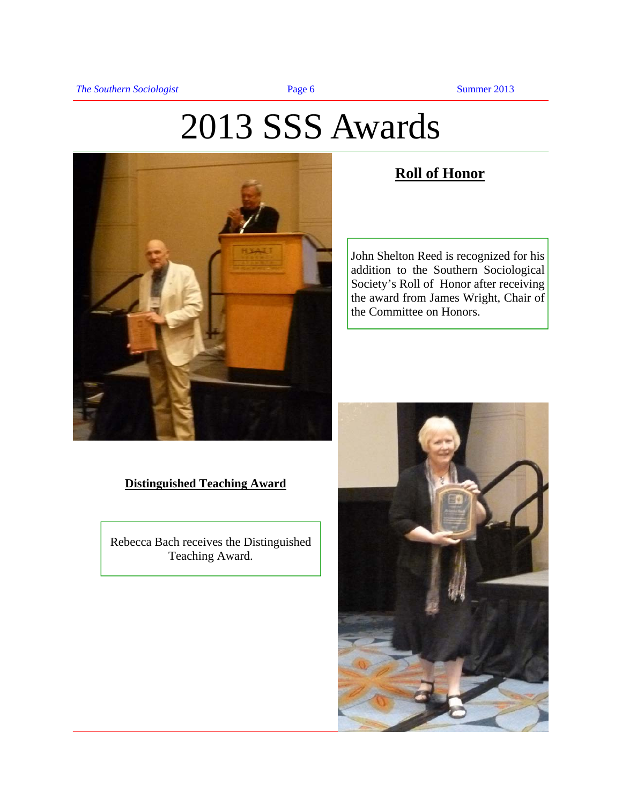## 2013 SSS Awards

<span id="page-5-0"></span>

#### **Roll of Honor**

John Shelton Reed is recognized for his addition to the Southern Sociological Society's Roll of Honor after receiving the award from James Wright, Chair of the Committee on Honors.

#### **Distinguished Teaching Award**

Rebecca Bach receives the Distinguished Teaching Award.

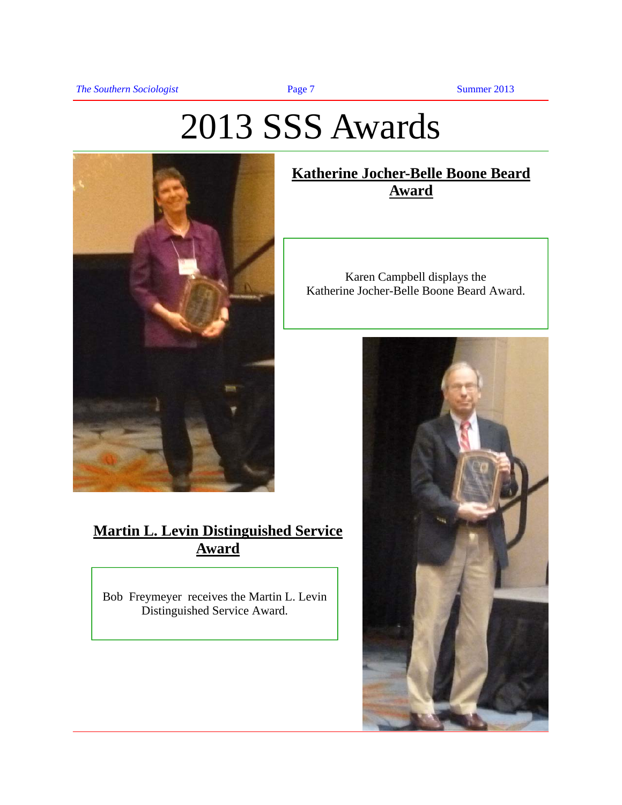## 2013 SSS Awards



#### **Martin L. Levin Distinguished Service Award**

Bob Freymeyer receives the Martin L. Levin Distinguished Service Award.

#### **Katherine Jocher-Belle Boone Beard Award**

Karen Campbell displays the Katherine Jocher-Belle Boone Beard Award.

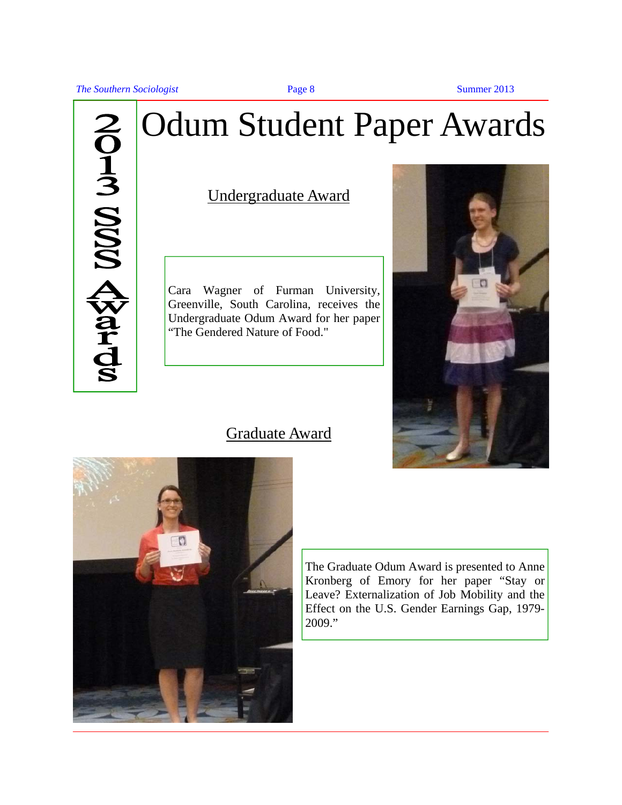**The Southern Sociologist Page 8** Summer 2013



## Odum Student Paper Awards

Undergraduate Award

Cara Wagner of Furman University, Greenville, South Carolina, receives the Undergraduate Odum Award for her paper "The Gendered Nature of Food."



#### Graduate Award



The Graduate Odum Award is presented to Anne Kronberg of Emory for her paper "Stay or Leave? Externalization of Job Mobility and the Effect on the U.S. Gender Earnings Gap, 1979- 2009."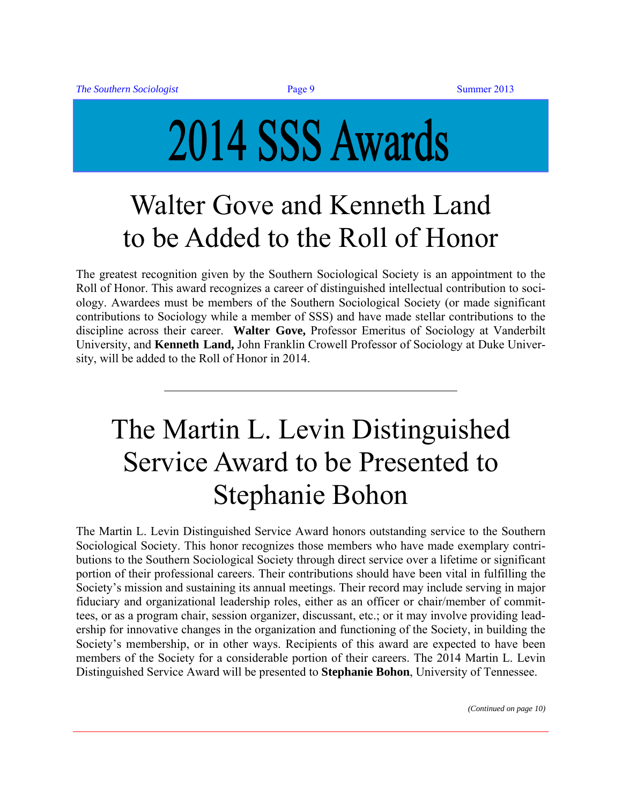# <span id="page-8-0"></span>2014 SSS Awards

## Walter Gove and Kenneth Land to be Added to the Roll of Honor

The greatest recognition given by the Southern Sociological Society is an appointment to the Roll of Honor. This award recognizes a career of distinguished intellectual contribution to sociology. Awardees must be members of the Southern Sociological Society (or made significant contributions to Sociology while a member of SSS) and have made stellar contributions to the discipline across their career. **Walter Gove,** Professor Emeritus of Sociology at Vanderbilt University, and **Kenneth Land,** John Franklin Crowell Professor of Sociology at Duke University, will be added to the Roll of Honor in 2014.

## The Martin L. Levin Distinguished Service Award to be Presented to Stephanie Bohon

The Martin L. Levin Distinguished Service Award honors outstanding service to the Southern Sociological Society. This honor recognizes those members who have made exemplary contributions to the Southern Sociological Society through direct service over a lifetime or significant portion of their professional careers. Their contributions should have been vital in fulfilling the Society's mission and sustaining its annual meetings. Their record may include serving in major fiduciary and organizational leadership roles, either as an officer or chair/member of committees, or as a program chair, session organizer, discussant, etc.; or it may involve providing leadership for innovative changes in the organization and functioning of the Society, in building the Society's membership, or in other ways. Recipients of this award are expected to have been members of the Society for a considerable portion of their careers. The 2014 Martin L. Levin Distinguished Service Award will be presented to **Stephanie Bohon**, University of Tennessee.

*(Continued on page 10)*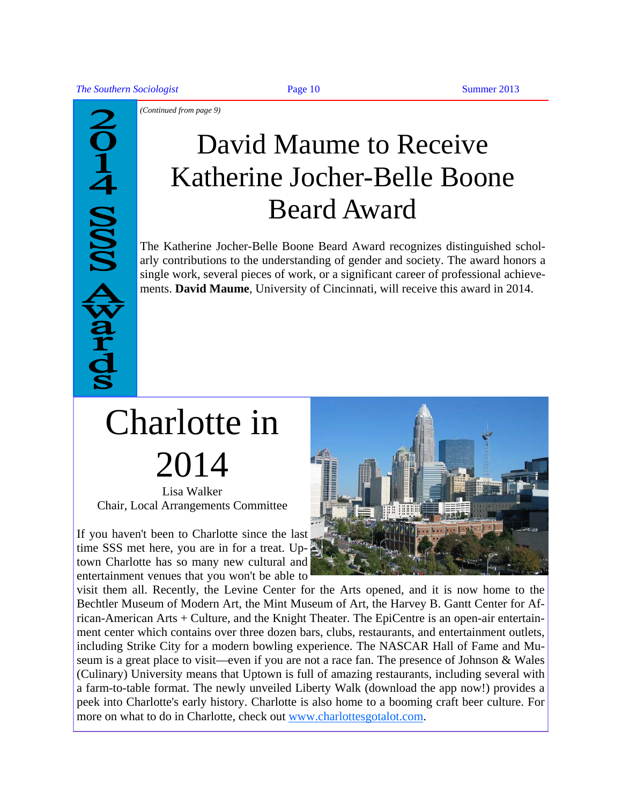<span id="page-9-0"></span>**JOHA SISS AWATA** 

*(Continued from page 9)* 

## David Maume to Receive Katherine Jocher-Belle Boone Beard Award

The Katherine Jocher-Belle Boone Beard Award recognizes distinguished scholarly contributions to the understanding of gender and society. The award honors a single work, several pieces of work, or a significant career of professional achievements. **David Maume**, University of Cincinnati, will receive this award in 2014.

## Charlotte in 2014

Lisa Walker Chair, Local Arrangements Committee

If you haven't been to Charlotte since the last time SSS met here, you are in for a treat. Uptown Charlotte has so many new cultural and entertainment venues that you won't be able to



visit them all. Recently, the Levine Center for the Arts opened, and it is now home to the Bechtler Museum of Modern Art, the Mint Museum of Art, the Harvey B. Gantt Center for African-American Arts + Culture, and the Knight Theater. The EpiCentre is an open-air entertainment center which contains over three dozen bars, clubs, restaurants, and entertainment outlets, including Strike City for a modern bowling experience. The NASCAR Hall of Fame and Museum is a great place to visit—even if you are not a race fan. The presence of Johnson & Wales (Culinary) University means that Uptown is full of amazing restaurants, including several with a farm-to-table format. The newly unveiled Liberty Walk (download the app now!) provides a peek into Charlotte's early history. Charlot[te is also home to a booming c](http://www.charlottesgotalot.com)raft beer culture. For more on what to do in Charlotte, check out www.charlottesgotalot.com.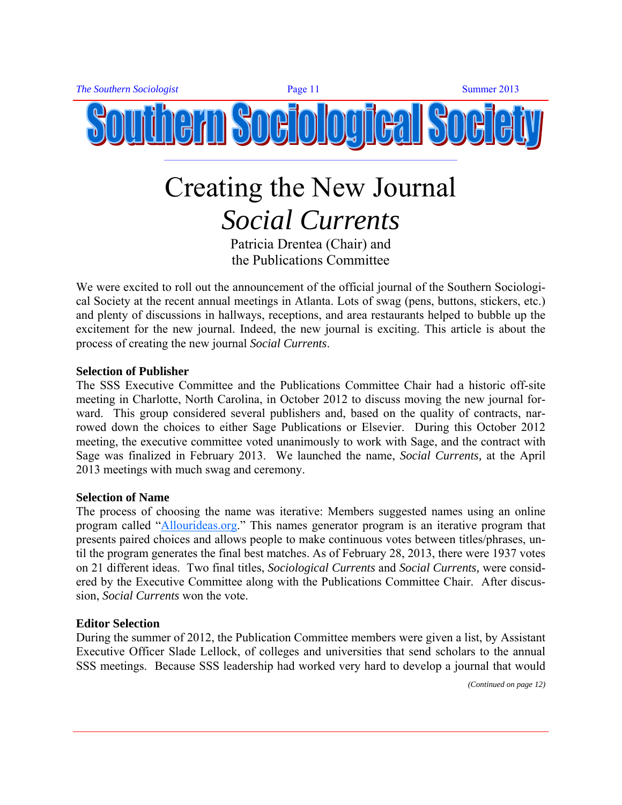<span id="page-10-0"></span>

## Creating the New Journal *Social Currents*

Patricia Drentea (Chair) and the Publications Committee

We were excited to roll out the announcement of the official journal of the Southern Sociological Society at the recent annual meetings in Atlanta. Lots of swag (pens, buttons, stickers, etc.) and plenty of discussions in hallways, receptions, and area restaurants helped to bubble up the excitement for the new journal. Indeed, the new journal is exciting. This article is about the process of creating the new journal *Social Currents*.

#### **Selection of Publisher**

The SSS Executive Committee and the Publications Committee Chair had a historic off-site meeting in Charlotte, North Carolina, in October 2012 to discuss moving the new journal forward. This group considered several publishers and, based on the quality of contracts, narrowed down the choices to either Sage Publications or Elsevier. During this October 2012 meeting, the executive committee voted unanimously to work with Sage, and the contract with Sage was finalized in February 2013. We launched the name, *Social Currents,* at the April 2013 meetings with much swag and ceremony.

#### **Selection of Name**

The process of choosing the name was iterative: Members suggested names using an online program called ["Allourideas.org.](http://www.allourideas.org/)" This names generator program is an iterative program that presents paired choices and allows people to make continuous votes between titles/phrases, until the program generates the final best matches. As of February 28, 2013, there were 1937 votes on 21 different ideas. Two final titles, *Sociological Currents* and *Social Currents,* were considered by the Executive Committee along with the Publications Committee Chair. After discussion, *Social Currents* won the vote.

#### **Editor Selection**

During the summer of 2012, the Publication Committee members were given a list, by Assistant Executive Officer Slade Lellock, of colleges and universities that send scholars to the annual SSS meetings. Because SSS leadership had worked very hard to develop a journal that would

*(Continued on page 12)*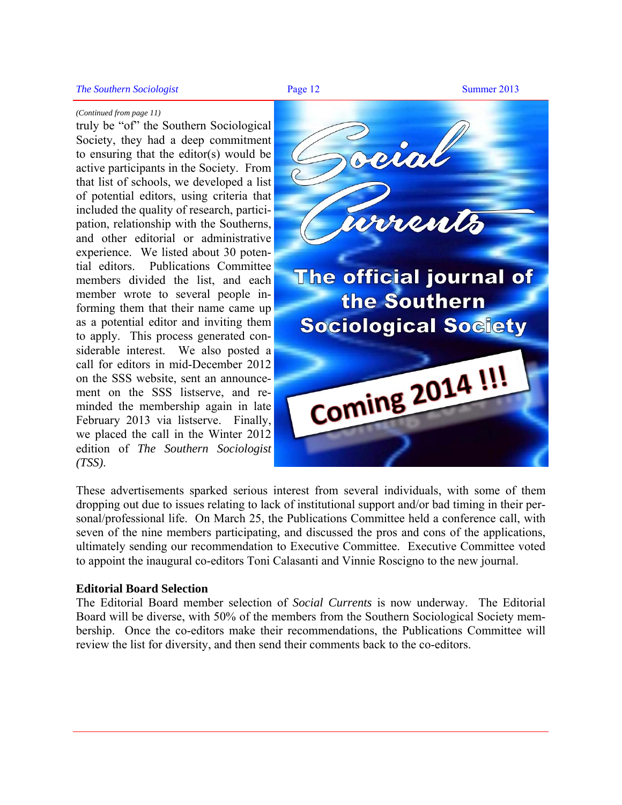#### *(Continued from page 11)*

truly be "of" the Southern Sociological Society, they had a deep commitment to ensuring that the editor(s) would be active participants in the Society. From that list of schools, we developed a list of potential editors, using criteria that included the quality of research, participation, relationship with the Southerns, and other editorial or administrative experience. We listed about 30 potential editors. Publications Committee members divided the list, and each member wrote to several people informing them that their name came up as a potential editor and inviting them to apply. This process generated considerable interest. We also posted a call for editors in mid-December 2012 on the SSS website, sent an announcement on the SSS listserve, and reminded the membership again in late February 2013 via listserve. Finally, we placed the call in the Winter 2012 edition of *The Southern Sociologist (TSS)*.



These advertisements sparked serious interest from several individuals, with some of them dropping out due to issues relating to lack of institutional support and/or bad timing in their personal/professional life. On March 25, the Publications Committee held a conference call, with seven of the nine members participating, and discussed the pros and cons of the applications, ultimately sending our recommendation to Executive Committee. Executive Committee voted to appoint the inaugural co-editors Toni Calasanti and Vinnie Roscigno to the new journal.

#### **Editorial Board Selection**

The Editorial Board member selection of *Social Currents* is now underway. The Editorial Board will be diverse, with 50% of the members from the Southern Sociological Society membership. Once the co-editors make their recommendations, the Publications Committee will review the list for diversity, and then send their comments back to the co-editors.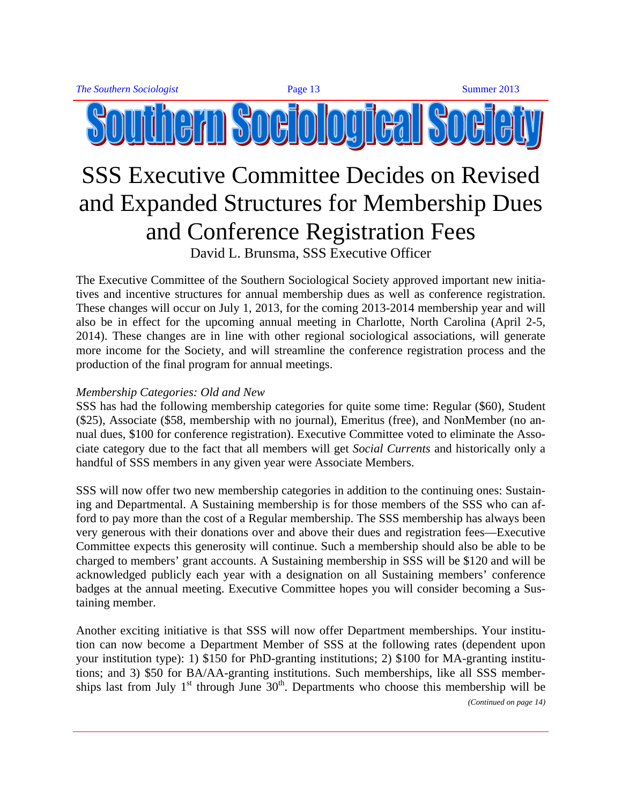### <span id="page-12-0"></span>SSS Executive Committee Decides on Revised and Expanded Structures for Membership Dues and Conference Registration Fees David L. Brunsma, SSS Executive Officer

The Executive Committee of the Southern Sociological Society approved important new initiatives and incentive structures for annual membership dues as well as conference registration. These changes will occur on July 1, 2013, for the coming 2013-2014 membership year and will also be in effect for the upcoming annual meeting in Charlotte, North Carolina (April 2-5, 2014). These changes are in line with other regional sociological associations, will generate more income for the Society, and will streamline the conference registration process and the production of the final program for annual meetings.

#### *Membership Categories: Old and New*

SSS has had the following membership categories for quite some time: Regular (\$60), Student (\$25), Associate (\$58, membership with no journal), Emeritus (free), and NonMember (no annual dues, \$100 for conference registration). Executive Committee voted to eliminate the Associate category due to the fact that all members will get *Social Currents* and historically only a handful of SSS members in any given year were Associate Members.

SSS will now offer two new membership categories in addition to the continuing ones: Sustaining and Departmental. A Sustaining membership is for those members of the SSS who can afford to pay more than the cost of a Regular membership. The SSS membership has always been very generous with their donations over and above their dues and registration fees—Executive Committee expects this generosity will continue. Such a membership should also be able to be charged to members' grant accounts. A Sustaining membership in SSS will be \$120 and will be acknowledged publicly each year with a designation on all Sustaining members' conference badges at the annual meeting. Executive Committee hopes you will consider becoming a Sustaining member.

Another exciting initiative is that SSS will now offer Department memberships. Your institution can now become a Department Member of SSS at the following rates (dependent upon your institution type): 1) \$150 for PhD-granting institutions; 2) \$100 for MA-granting institutions; and 3) \$50 for BA/AA-granting institutions. Such memberships, like all SSS memberships last from July  $1<sup>st</sup>$  through June  $30<sup>th</sup>$ . Departments who choose this membership will be *(Continued on page 14)*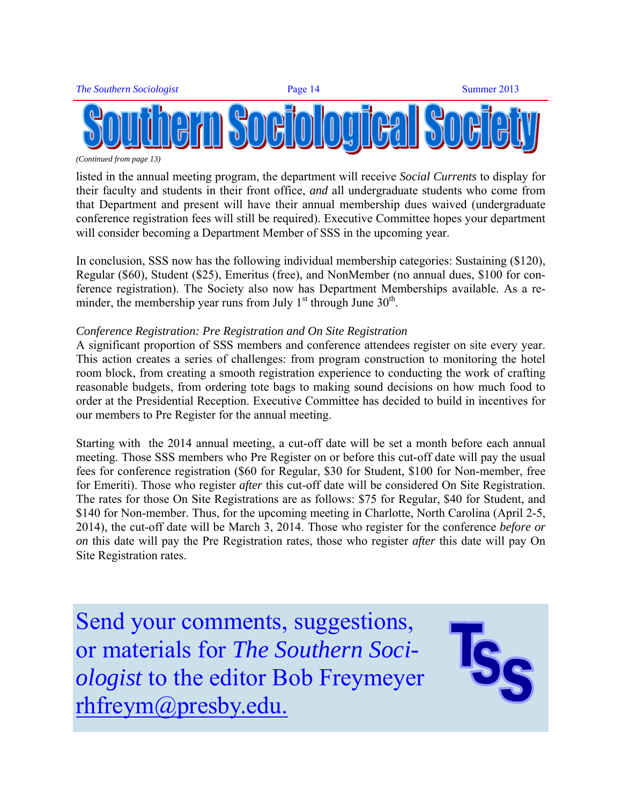

*(Continued from page 13)* 

listed in the annual meeting program, the department will receive *Social Currents* to display for their faculty and students in their front office, *and* all undergraduate students who come from that Department and present will have their annual membership dues waived (undergraduate conference registration fees will still be required). Executive Committee hopes your department will consider becoming a Department Member of SSS in the upcoming year.

In conclusion, SSS now has the following individual membership categories: Sustaining (\$120), Regular (\$60), Student (\$25), Emeritus (free), and NonMember (no annual dues, \$100 for conference registration). The Society also now has Department Memberships available. As a reminder, the membership year runs from July  $1<sup>st</sup>$  through June  $30<sup>th</sup>$ .

#### *Conference Registration: Pre Registration and On Site Registration*

A significant proportion of SSS members and conference attendees register on site every year. This action creates a series of challenges: from program construction to monitoring the hotel room block, from creating a smooth registration experience to conducting the work of crafting reasonable budgets, from ordering tote bags to making sound decisions on how much food to order at the Presidential Reception. Executive Committee has decided to build in incentives for our members to Pre Register for the annual meeting.

Starting with the 2014 annual meeting, a cut-off date will be set a month before each annual meeting. Those SSS members who Pre Register on or before this cut-off date will pay the usual fees for conference registration (\$60 for Regular, \$30 for Student, \$100 for Non-member, free for Emeriti). Those who register *after* this cut-off date will be considered On Site Registration. The rates for those On Site Registrations are as follows: \$75 for Regular, \$40 for Student, and \$140 for Non-member. Thus, for the upcoming meeting in Charlotte, North Carolina (April 2-5, 2014), the cut-off date will be March 3, 2014. Those who register for the conference *before or on* this date will pay the Pre Registration rates, those who register *after* this date will pay On Site Registration rates.

Send your comments, suggestions, or materials for *The Southern Sociologist* to the editor Bob Freymeyer [rhfreym@presby.edu.](mailto:rhfreym@presby.edu)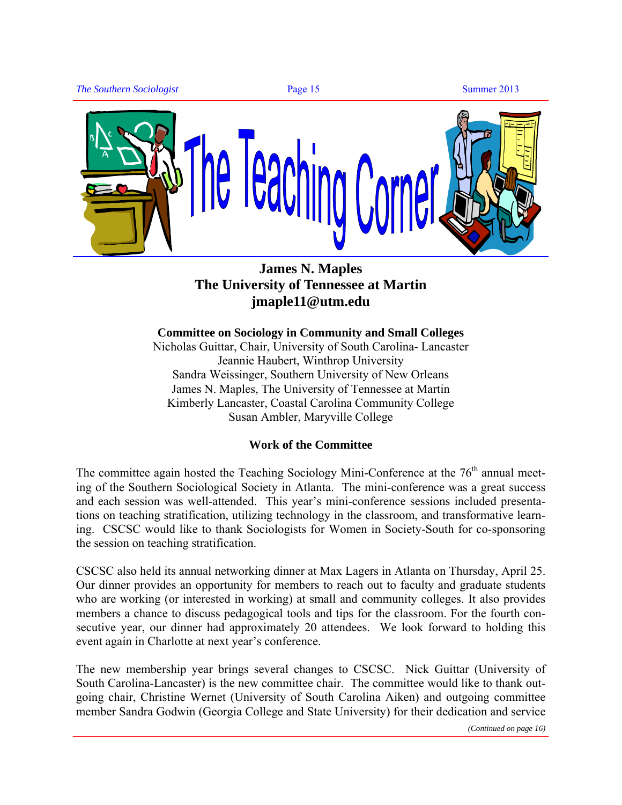<span id="page-14-0"></span>

#### **James N. Maples The University of Tennessee at Martin [jmaple11@utm.edu](mailto:jmaple11@utm.edu)**

**Committee on Sociology in Community and Small Colleges** Nicholas Guittar, Chair, University of South Carolina- Lancaster Jeannie Haubert, Winthrop University Sandra Weissinger, Southern University of New Orleans James N. Maples, The University of Tennessee at Martin Kimberly Lancaster, Coastal Carolina Community College Susan Ambler, Maryville College

#### **Work of the Committee**

The committee again hosted the Teaching Sociology Mini-Conference at the  $76<sup>th</sup>$  annual meeting of the Southern Sociological Society in Atlanta. The mini-conference was a great success and each session was well-attended. This year's mini-conference sessions included presentations on teaching stratification, utilizing technology in the classroom, and transformative learning. CSCSC would like to thank Sociologists for Women in Society-South for co-sponsoring the session on teaching stratification.

CSCSC also held its annual networking dinner at Max Lagers in Atlanta on Thursday, April 25. Our dinner provides an opportunity for members to reach out to faculty and graduate students who are working (or interested in working) at small and community colleges. It also provides members a chance to discuss pedagogical tools and tips for the classroom. For the fourth consecutive year, our dinner had approximately 20 attendees. We look forward to holding this event again in Charlotte at next year's conference.

The new membership year brings several changes to CSCSC. Nick Guittar (University of South Carolina-Lancaster) is the new committee chair. The committee would like to thank outgoing chair, Christine Wernet (University of South Carolina Aiken) and outgoing committee member Sandra Godwin (Georgia College and State University) for their dedication and service

*(Continued on page 16)*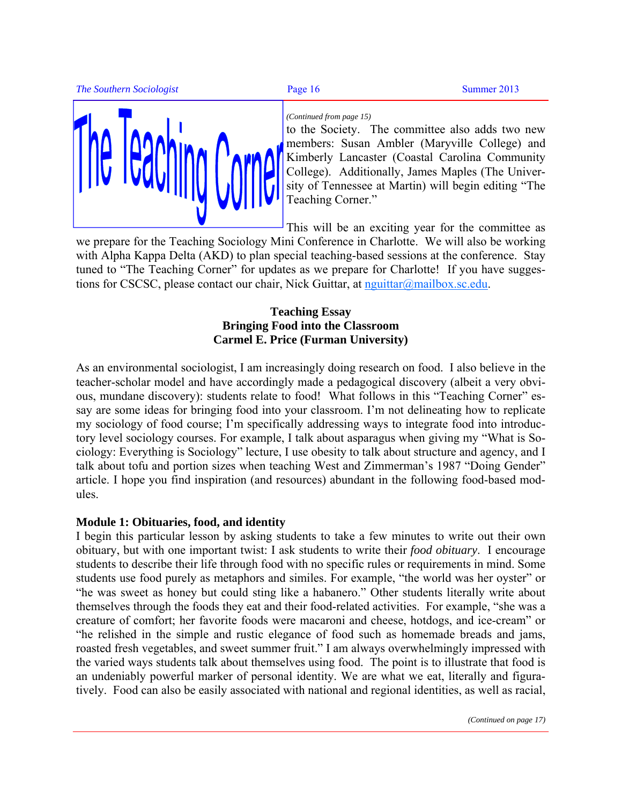**The Southern Sociologist Page 16** Summer 2013



#### *(Continued from page 15)*

to the Society. The committee also adds two new members: Susan Ambler (Maryville College) and Kimberly Lancaster (Coastal Carolina Community College). Additionally, James Maples (The University of Tennessee at Martin) will begin editing "The Teaching Corner."

This will be an exciting year for the committee as

we prepare for the Teaching Sociology Mini Conference in Charlotte. We will also be working with Alpha Kappa Delta (AKD) to plan special teaching-based sessions at the conference. Stay tuned to "The Teaching Corner" for updates as we prepare for Charlotte! If you have suggestions for CSCSC, please contact our chair, Nick Guittar, at [nguittar@mailbox.sc.edu.](mailto:nguittar@mailbox.sc.edu) 

#### **Teaching Essay Bringing Food into the Classroom Carmel E. Price (Furman University)**

As an environmental sociologist, I am increasingly doing research on food. I also believe in the teacher-scholar model and have accordingly made a pedagogical discovery (albeit a very obvious, mundane discovery): students relate to food! What follows in this "Teaching Corner" essay are some ideas for bringing food into your classroom. I'm not delineating how to replicate my sociology of food course; I'm specifically addressing ways to integrate food into introductory level sociology courses. For example, I talk about asparagus when giving my "What is Sociology: Everything is Sociology" lecture, I use obesity to talk about structure and agency, and I talk about tofu and portion sizes when teaching West and Zimmerman's 1987 "Doing Gender" article. I hope you find inspiration (and resources) abundant in the following food-based modules.

#### **Module 1: Obituaries, food, and identity**

I begin this particular lesson by asking students to take a few minutes to write out their own obituary, but with one important twist: I ask students to write their *food obituary*. I encourage students to describe their life through food with no specific rules or requirements in mind. Some students use food purely as metaphors and similes. For example, "the world was her oyster" or "he was sweet as honey but could sting like a habanero." Other students literally write about themselves through the foods they eat and their food-related activities. For example, "she was a creature of comfort; her favorite foods were macaroni and cheese, hotdogs, and ice-cream" or "he relished in the simple and rustic elegance of food such as homemade breads and jams, roasted fresh vegetables, and sweet summer fruit." I am always overwhelmingly impressed with the varied ways students talk about themselves using food. The point is to illustrate that food is an undeniably powerful marker of personal identity. We are what we eat, literally and figuratively. Food can also be easily associated with national and regional identities, as well as racial,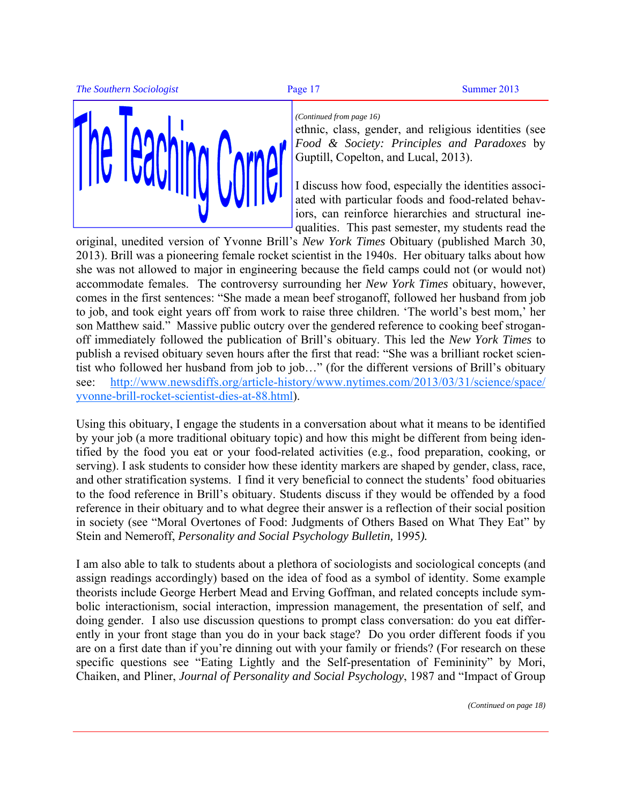

#### *(Continued from page 16)*

ethnic, class, gender, and religious identities (see *Food & Society: Principles and Paradoxes* by Guptill, Copelton, and Lucal, 2013).

I discuss how food, especially the identities associated with particular foods and food-related behaviors, can reinforce hierarchies and structural inequalities. This past semester, my students read the

original, unedited version of Yvonne Brill's *New York Times* Obituary (published March 30, 2013). Brill was a pioneering female rocket scientist in the 1940s. Her obituary talks about how she was not allowed to major in engineering because the field camps could not (or would not) accommodate females. The controversy surrounding her *New York Times* obituary, however, comes in the first sentences: "She made a mean beef stroganoff, followed her husband from job to job, and took eight years off from work to raise three children. 'The world's best mom,' her son Matthew said." Massive public outcry over the gendered reference to cooking beef stroganoff immediately followed the publication of Brill's obituary. This led the *New York Times* to publish a revised obituary seven hours after the first that read: "She was a brilliant rocket scientist who followed her husband from job to job…" (for the different versions of Brill's obituary [see: http://www.newsdiffs.org/article-history/www.nytimes.com/2013/03/31/science/space/](http://www.newsdiffs.org/article-history/www.nytimes.com/2013/03/31/science/space/yvonne-brill-rocket-scientist-dies-at-88.html) yvonne-brill-rocket-scientist-dies-at-88.html).

Using this obituary, I engage the students in a conversation about what it means to be identified by your job (a more traditional obituary topic) and how this might be different from being identified by the food you eat or your food-related activities (e.g., food preparation, cooking, or serving). I ask students to consider how these identity markers are shaped by gender, class, race, and other stratification systems. I find it very beneficial to connect the students' food obituaries to the food reference in Brill's obituary. Students discuss if they would be offended by a food reference in their obituary and to what degree their answer is a reflection of their social position in society (see "Moral Overtones of Food: Judgments of Others Based on What They Eat" by Stein and Nemeroff, *Personality and Social Psychology Bulletin,* 1995*).* 

I am also able to talk to students about a plethora of sociologists and sociological concepts (and assign readings accordingly) based on the idea of food as a symbol of identity. Some example theorists include George Herbert Mead and Erving Goffman, and related concepts include symbolic interactionism, social interaction, impression management, the presentation of self, and doing gender. I also use discussion questions to prompt class conversation: do you eat differently in your front stage than you do in your back stage? Do you order different foods if you are on a first date than if you're dinning out with your family or friends? (For research on these specific questions see "Eating Lightly and the Self-presentation of Femininity" by Mori, Chaiken, and Pliner, *Journal of Personality and Social Psychology*, 1987 and "Impact of Group

*(Continued on page 18)*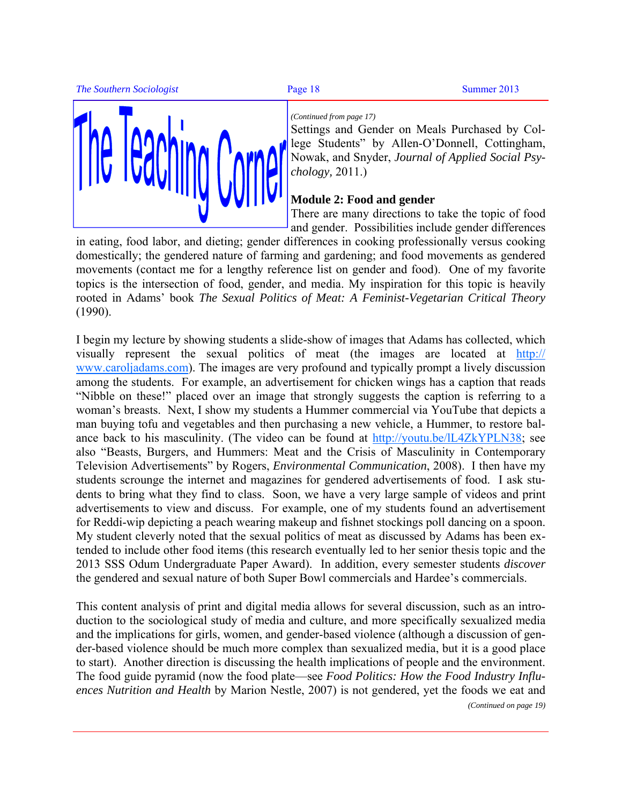**The Southern Sociologist Page 18** Summer 2013





#### *(Continued from page 17)*

Settings and Gender on Meals Purchased by College Students" by Allen-O'Donnell, Cottingham, Nowak, and Snyder, *Journal of Applied Social Psychology,* 2011.)

#### **Module 2: Food and gender**

There are many directions to take the topic of food and gender. Possibilities include gender differences

in eating, food labor, and dieting; gender differences in cooking professionally versus cooking domestically; the gendered nature of farming and gardening; and food movements as gendered movements (contact me for a lengthy reference list on gender and food). One of my favorite topics is the intersection of food, gender, and media. My inspiration for this topic is heavily rooted in Adams' book *The Sexual Politics of Meat: A Feminist-Vegetarian Critical Theory* (1990).

I begin my lecture by showing students a slide-show of images that Adams has collected, which visually represent the sexual politics of meat (the images are located at [http://](http://www.caroljadams.com) [www.caroljadams.com\). Th](http://www.caroljadams.com)e images are very profound and typically prompt a lively discussion among the students. For example, an advertisement for chicken wings has a caption that reads "Nibble on these!" placed over an image that strongly suggests the caption is referring to a woman's breasts. Next, I show my students a Hummer commercial via YouTube that depicts a man buying tofu and vegetables and then purchasing a new vehicle, a Hummer, to restore balance back to his masculinity. (The video can be found at [http://youtu.be/lL4ZkYPLN38; se](http://youtu.be/lL4ZkYPLN38)e also "Beasts, Burgers, and Hummers: Meat and the Crisis of Masculinity in Contemporary Television Advertisements" by Rogers, *Environmental Communication*, 2008). I then have my students scrounge the internet and magazines for gendered advertisements of food. I ask students to bring what they find to class. Soon, we have a very large sample of videos and print advertisements to view and discuss. For example, one of my students found an advertisement for Reddi-wip depicting a peach wearing makeup and fishnet stockings poll dancing on a spoon. My student cleverly noted that the sexual politics of meat as discussed by Adams has been extended to include other food items (this research eventually led to her senior thesis topic and the 2013 SSS Odum Undergraduate Paper Award). In addition, every semester students *discover* the gendered and sexual nature of both Super Bowl commercials and Hardee's commercials.

This content analysis of print and digital media allows for several discussion, such as an introduction to the sociological study of media and culture, and more specifically sexualized media and the implications for girls, women, and gender-based violence (although a discussion of gender-based violence should be much more complex than sexualized media, but it is a good place to start). Another direction is discussing the health implications of people and the environment. The food guide pyramid (now the food plate—see *Food Politics: How the Food Industry Influences Nutrition and Health* by Marion Nestle, 2007) is not gendered, yet the foods we eat and *(Continued on page 19)*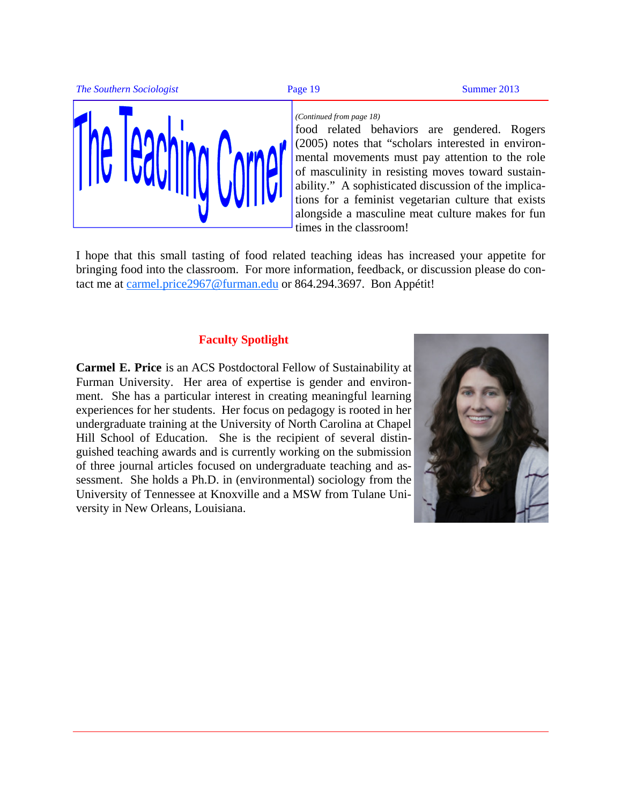





#### *(Continued from page 18)*

food related behaviors are gendered. Rogers (2005) notes that "scholars interested in environmental movements must pay attention to the role of masculinity in resisting moves toward sustainability." A sophisticated discussion of the implications for a feminist vegetarian culture that exists alongside a masculine meat culture makes for fun times in the classroom!

I hope that this small tasting of food related teaching ideas has increased your appetite for bringing food into the classroom. For more information, feedback, or discussion please do contact me at [carmel.price2967@furman.edu or](mailto:carmel.price2967@furman.edu) 864.294.3697. Bon Appétit!

#### **Faculty Spotlight**

**Carmel E. Price** is an ACS Postdoctoral Fellow of Sustainability at Furman University. Her area of expertise is gender and environment. She has a particular interest in creating meaningful learning experiences for her students. Her focus on pedagogy is rooted in her undergraduate training at the University of North Carolina at Chapel Hill School of Education. She is the recipient of several distinguished teaching awards and is currently working on the submission of three journal articles focused on undergraduate teaching and assessment. She holds a Ph.D. in (environmental) sociology from the University of Tennessee at Knoxville and a MSW from Tulane University in New Orleans, Louisiana.

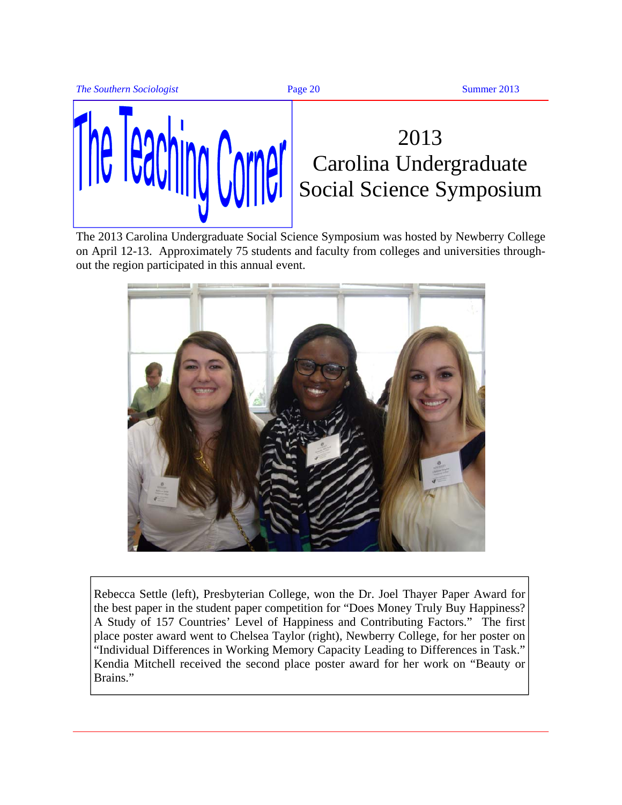



## 2013 Carolina Undergraduate Social Science Symposium

The 2013 Carolina Undergraduate Social Science Symposium was hosted by Newberry College on April 12-13. Approximately 75 students and faculty from colleges and universities throughout the region participated in this annual event.



Rebecca Settle (left), Presbyterian College, won the Dr. Joel Thayer Paper Award for the best paper in the student paper competition for "Does Money Truly Buy Happiness? A Study of 157 Countries' Level of Happiness and Contributing Factors." The first place poster award went to Chelsea Taylor (right), Newberry College, for her poster on "Individual Differences in Working Memory Capacity Leading to Differences in Task." Kendia Mitchell received the second place poster award for her work on "Beauty or Brains."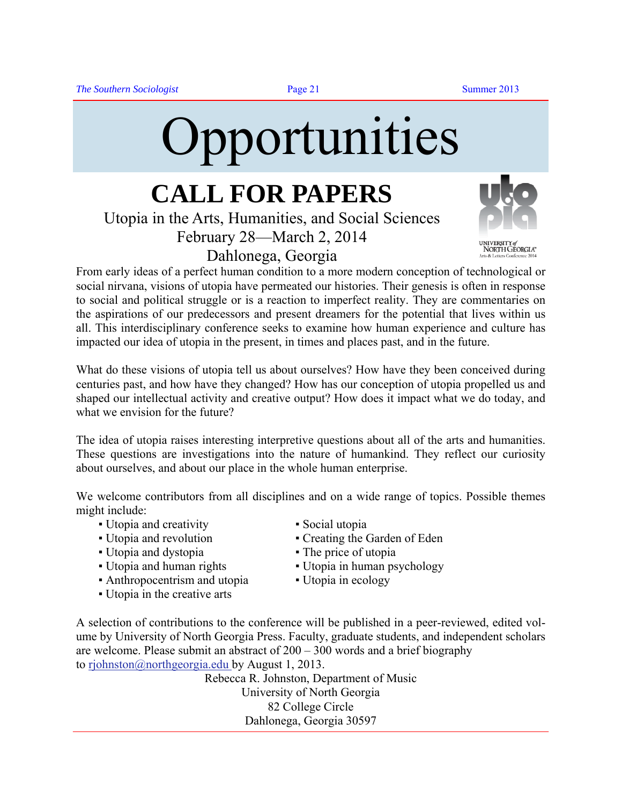<span id="page-20-0"></span>

## **CALL FOR PAPERS**  Utopia in the Arts, Humanities, and Social Sciences

February 28—March 2, 2014 Dahlonega, Georgia



**UNIVERSITY** of<br>NORTH GEORGIA"

From early ideas of a perfect human condition to a more modern conception of technological or social nirvana, visions of utopia have permeated our histories. Their genesis is often in response to social and political struggle or is a reaction to imperfect reality. They are commentaries on the aspirations of our predecessors and present dreamers for the potential that lives within us all. This interdisciplinary conference seeks to examine how human experience and culture has impacted our idea of utopia in the present, in times and places past, and in the future.

What do these visions of utopia tell us about ourselves? How have they been conceived during centuries past, and how have they changed? How has our conception of utopia propelled us and shaped our intellectual activity and creative output? How does it impact what we do today, and what we envision for the future?

The idea of utopia raises interesting interpretive questions about all of the arts and humanities. These questions are investigations into the nature of humankind. They reflect our curiosity about ourselves, and about our place in the whole human enterprise.

We welcome contributors from all disciplines and on a wide range of topics. Possible themes might include:

- Utopia and creativity Social utopia
- 
- Utopia and dystopia **•** The price of utopia
- 
- Anthropocentrism and utopia Utopia in ecology
- Utopia in the creative arts
- 
- Utopia and revolution Creating the Garden of Eden
	-
- Utopia and human rights Utopia in human psychology
	-

A selection of contributions to the conference will be published in a peer-reviewed, edited volume by University of North Georgia Press. Faculty, graduate students, and independent scholars are welcome. Please submit an abstract of 200 – 300 words and a brief biography to [rjohnston@northgeorgia.edu by](mailto:rjohnston@northgeorgia.edu) August 1, 2013.

> Rebecca R. Johnston, Department of Music University of North Georgia 82 College Circle Dahlonega, Georgia 30597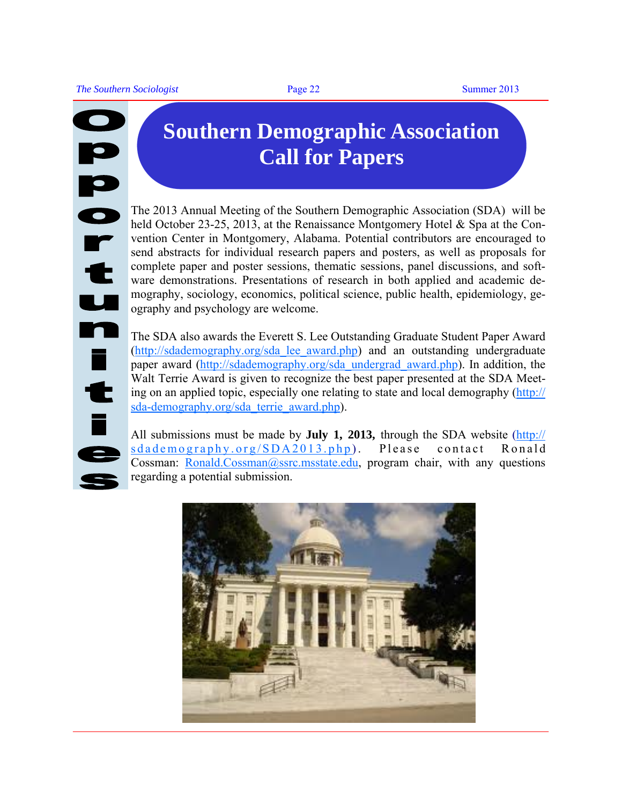# ip<br>Or  $\mathbf{t}$ u n  $\frac{1}{t}$

## **Southern Demographic Association Call for Papers**

The 2013 Annual Meeting of the Southern Demographic Association (SDA) will be held October 23-25, 2013, at the Renaissance Montgomery Hotel & Spa at the Convention Center in Montgomery, Alabama. Potential contributors are encouraged to send abstracts for individual research papers and posters, as well as proposals for complete paper and poster sessions, thematic sessions, panel discussions, and software demonstrations. Presentations of research in both applied and academic demography, sociology, economics, political science, public health, epidemiology, geography and psychology are welcome.

The SDA also awards the Everett S. Lee Outstanding Graduate Student Paper Award ([http://sdademography.org/sda\\_lee\\_award.php\) a](http://sdademography.org/sda_lee_award.php)nd an outstanding undergraduate paper award ([http://sdademography.org/sda\\_undergrad\\_award.php\). In](http://sdademography.org/sda_undergrad_award.php) addition, the Walt Terrie Award is given to recognize the best paper presented at the SDA Meeting on an applied topic, especially one relating to state and local demography [\(http://](http://sda-demography.org/sda_terrie_award.php) [sda-demography.org/sda\\_terrie\\_award.php\).](http://sda-demography.org/sda_terrie_award.php) 

All submissions must be made by **July 1, 2013,** through the SDA website [\(http://](http://sdademography.org/SDA2013.php)  $sdademography.org/SDA2013.php$ . Please contact Ronald Cossman: [Ronald.Cossman@ssrc.msstate.edu, pr](mailto:Ronald.Cossman@ssrc.msstate.edu)ogram chair, with any questions regarding a potential submission.

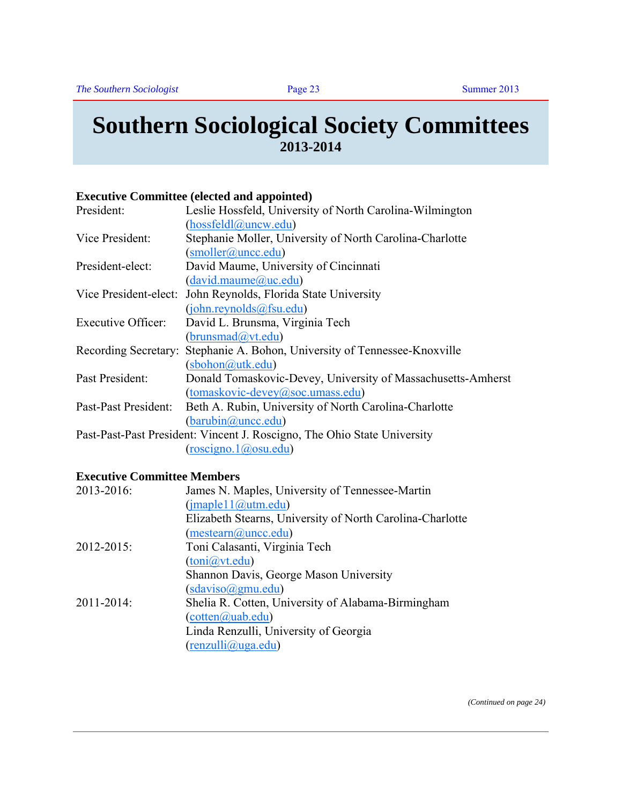#### <span id="page-22-0"></span>**Southern Sociological Society Committees 2013-2014**

#### **Executive Committee (elected and appointed)**

| President:                                                               | Leslie Hossfeld, University of North Carolina-Wilmington                   |  |
|--------------------------------------------------------------------------|----------------------------------------------------------------------------|--|
|                                                                          | (hossfeldl@uncw.edu)                                                       |  |
| Vice President:                                                          | Stephanie Moller, University of North Carolina-Charlotte                   |  |
|                                                                          | (smoller@unc.edu)                                                          |  |
| President-elect:                                                         | David Maume, University of Cincinnati                                      |  |
|                                                                          | (david.maume@uc.edu)                                                       |  |
| Vice President-elect:                                                    | John Reynolds, Florida State University                                    |  |
|                                                                          | (john.reynolds@fsu.edu)                                                    |  |
| <b>Executive Officer:</b>                                                | David L. Brunsma, Virginia Tech                                            |  |
|                                                                          | (brunsmad@vt.edu)                                                          |  |
|                                                                          | Recording Secretary: Stephanie A. Bohon, University of Tennessee-Knoxville |  |
|                                                                          | $(sbohon@utk.edu)$                                                         |  |
| Past President:                                                          | Donald Tomaskovic-Devey, University of Massachusetts-Amherst               |  |
|                                                                          | $(tomaskovic-devey@soc. umass.edu)$                                        |  |
| Past-Past President:                                                     | Beth A. Rubin, University of North Carolina-Charlotte                      |  |
|                                                                          | (barubin@unc.edu)                                                          |  |
| Past-Past-Past President: Vincent J. Roscigno, The Ohio State University |                                                                            |  |
|                                                                          | $(\text{roscigno.1} @ \text{osu.edu})$                                     |  |

#### **Executive Committee Members**

| 2013-2016: | James N. Maples, University of Tennessee-Martin           |
|------------|-----------------------------------------------------------|
|            | (jmaple11@utm.edu)                                        |
|            | Elizabeth Stearns, University of North Carolina-Charlotte |
|            | (mestearn@unc.edu)                                        |
| 2012-2015: | Toni Calasanti, Virginia Tech                             |
|            | (toni@vt.edu)                                             |
|            | Shannon Davis, George Mason University                    |
|            | $(sdaviso(\partial gmu.edu))$                             |
| 2011-2014: | Shelia R. Cotten, University of Alabama-Birmingham        |
|            | $(cotten(a)$ uab.edu)                                     |
|            | Linda Renzulli, University of Georgia                     |
|            | $(\text{renzulli@uga.edu})$                               |
|            |                                                           |

*(Continued on page 24)*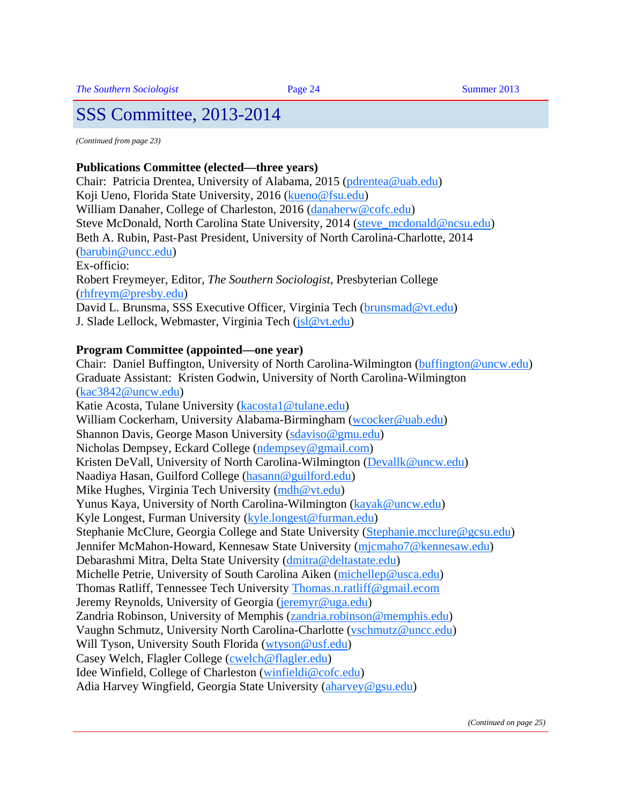*(Continued from page 23)* 

#### **Publications Committee (elected—three years)**

Chair: Patricia Drentea, University of Alabama, 2015 [\(pdrentea@uab.edu\)](mailto:pdrentea@uab.edu)  Koji Ueno, Florida State University, 2016 ([kueno@fsu.edu\)](mailto:kueno@fsu.edu)  William Danaher, College of Charleston, 2016 [\(danaherw@cofc.edu\)](mailto:danaherw@cofc.edu)  Steve McDonald, North Carolina State University, 2014 ([steve\\_mcdonald@ncsu.edu\)](mailto:steve_mcdonald@ncsu.edu)  Beth A. Rubin, Past-Past President, University of North Carolina-Charlotte, 2014 ([barubin@uncc.edu\)](mailto:barubin@uncc.edu)  Ex-officio: Robert Freymeyer, Editor, *The Southern Sociologist*, Presbyterian College ([rhfreym@presby.edu\)](mailto:rhfreym@presby.edu)  David L. Brunsma, SSS Executive Officer, Virginia Tech (brunsmad@vt.edu)

J. Slade Lellock, Webmaster, Virginia Tech [\(jsl@vt.edu\)](mailto:jsl@vt.edu) 

#### **Program Committee (appointed—one year)**

Chair: Daniel Buffington, University of North Carolina-Wilmington [\(buffington@uncw.edu\)](mailto:buffington@uncw.edu)  Graduate Assistant: Kristen Godwin, University of North Carolina-Wilmington ([kac3842@uncw.edu\)](mailto:kac3842@uncw.edu)  Katie Acosta, Tulane University [\(kacosta1@tulane.edu\)](mailto:kacosta1@tulane.edu)  William Cockerham, University Alabama-Birmingham [\(wcocker@uab.edu\)](mailto:wcocker@uab.edu)  Shannon Davis, George Mason University [\(sdaviso@gmu.edu\)](mailto:sdaviso@gmu.edu)  Nicholas Dempsey, Eckard College [\(ndempsey@gmail.com\)](mailto:ndempsey@gmail.com)  Kristen DeVall, University of North Carolina-Wilmington (Devallk@uncw.edu) Naadiya Hasan, Guilford College [\(hasann@guilford.edu\)](mailto:hasann@guilford.edu)  Mike Hughes, Virginia Tech University (mdh@vt.edu) Yunus Kaya, University of North Carolina-Wilmington [\(kayak@uncw.edu\)](mailto:kayak@uncw.edu)  Kyle Longest, Furman University [\(kyle.longest@furman.edu\)](mailto:kyle.longest@furman.edu)  Stephanie McClure, Georgia College and State University [\(Stephanie.mcclure@gcsu.edu\)](mailto:Stephanie.mcclure@gcsu.edu)  Jennifer McMahon-Howard, Kennesaw State University [\(mjcmaho7@kennesaw.edu\)](mailto:mjcmaho7@kennesaw.edu)  Debarashmi Mitra, Delta State University [\(dmitra@deltastate.edu\)](mailto:dmitra@deltastate.edu)  Michelle Petrie, University of South Carolina Aiken (michellep@usca.edu) Thomas Ratliff, Tennessee Tech University [Thomas.n.ratliff@gmail.ecom](mailto:Thomas.n.ratliff@gmail.ecom) Jeremy Reynolds, University of Georgia (jeremyr@uga.edu) Zandria Robinson, University of Memphis [\(zandria.robinson@memphis.edu\)](mailto:zandria.robinson@memphis.edu)  Vaughn Schmutz, University North Carolina-Charlotte [\(vschmutz@uncc.edu\)](mailto:vschmutz@uncc.edu)  Will Tyson, University South Florida [\(wtyson@usf.edu\)](mailto:wtyson@usf.edu)  Casey Welch, Flagler College [\(cwelch@flagler.edu\)](mailto:cwelch@flagler.edu)  Idee Winfield, College of Charleston [\(winfieldi@cofc.edu\)](mailto:winfieldi@cofc.edu)  Adia Harvey Wingfield, Georgia State University [\(aharvey@gsu.edu\)](mailto:aharvey@gsu.edu)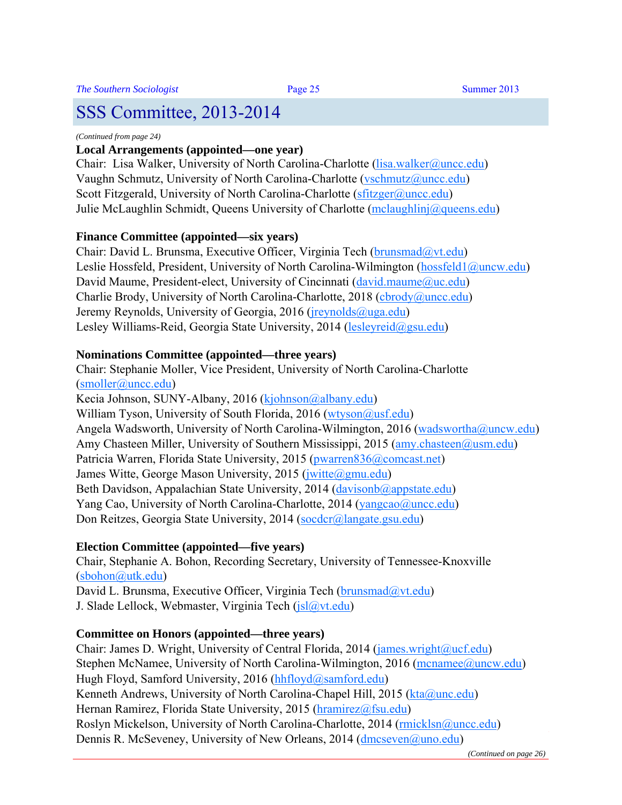#### *(Continued from page 24)*

#### **Local Arrangements (appointed—one year)**

Chair: Lisa Walker, University of North Carolina-Charlotte (lisa.walker@uncc.edu) Vaughn Schmutz, University of North Carolina-Charlotte ([vschmutz@uncc.edu\)](mailto:vschmutz@uncc.edu)  Scott Fitzgerald, University of North Carolina-Charlotte (sfitzger@uncc.edu) Julie McLaughlin Schmidt, Queens University of Charlotte [\(mclaughlinj@queens.edu\)](mailto:mclaughlinj@queens.edu) 

#### **Finance Committee (appointed—six years)**

Chair: David L. Brunsma, Executive Officer, Virginia Tech (brunsmad@vt.edu) Leslie Hossfeld, President, University of North Carolina-Wilmington (hossfeld1@uncw.edu) David Maume, President-elect, University of Cincinnati ( $david_m$ maume $@uc.edu)$ ) Charlie Brody, University of North Carolina-Charlotte, 2018 ([cbrody@uncc.edu\)](mailto:cbrody@uncc.edu)  Jeremy Reynolds, University of Georgia, 2016 (*jreynolds@uga.edu*) Lesley Williams-Reid, Georgia State University, 2014 (lesleyreid@gsu.edu)

#### **Nominations Committee (appointed—three years)**

Chair: Stephanie Moller, Vice President, University of North Carolina-Charlotte ([smoller@uncc.edu\)](mailto:smoller@uncc.edu) 

Kecia Johnson, SUNY-Albany, 2016 [\(kjohnson@albany.edu\)](mailto:kjohnson@albany.edu)  William Tyson, University of South Florida, 2016 (wtyson@usf.edu) Angela Wadsworth, University of North Carolina-Wilmington, 2016 ([wadswortha@uncw.edu\)](mailto:wadswortha@uncw.edu)  Amy Chasteen Miller, University of Southern Mississippi, 2015 (amy.chasteen@usm.edu) Patricia Warren, Florida State University, 2015 (pwarren836@comcast.net) James Witte, George Mason University, 2015 (*jwitte@gmu.edu*) Beth Davidson, Appalachian State University, 2014 (davisonb@appstate.edu) Yang Cao, University of North Carolina-Charlotte, 2014 (yangcao@uncc.edu) Don Reitzes, Georgia State University, 2014 (socdcr@langate.gsu.edu)

#### **Election Committee (appointed—five years)**

Chair, Stephanie A. Bohon, Recording Secretary, University of Tennessee-Knoxville ([sbohon@utk.edu\)](mailto:sbohon@utk.edu)  David L. Brunsma, Executive Officer, Virginia Tech (brunsmad@vt.edu)

J. Slade Lellock, Webmaster, Virginia Tech ( $\frac{1}{s}$ l $\frac{a}{v}$ t.edu)

#### **Committee on Honors (appointed—three years)**

Chair: James D. Wright, University of Central Florida, 2014 (james.wright@ucf.edu) Stephen McNamee, University of North Carolina-Wilmington, 2016 (mcnamee@uncw.edu) Hugh Floyd, Samford University, 2016 (hhfloyd@samford.edu) Kenneth Andrews, University of North Carolina-Chapel Hill, 2015 (kta@unc.edu) Hernan Ramirez, Florida State University, 2015 (hramirez@fsu.edu) Roslyn Mickelson, University of North Carolina-Charlotte, 2014 (rmicklsn@uncc.edu) Dennis R. McSeveney, University of New Orleans, 2014 (dmcseven@uno.edu)

*(Continued on page 26)*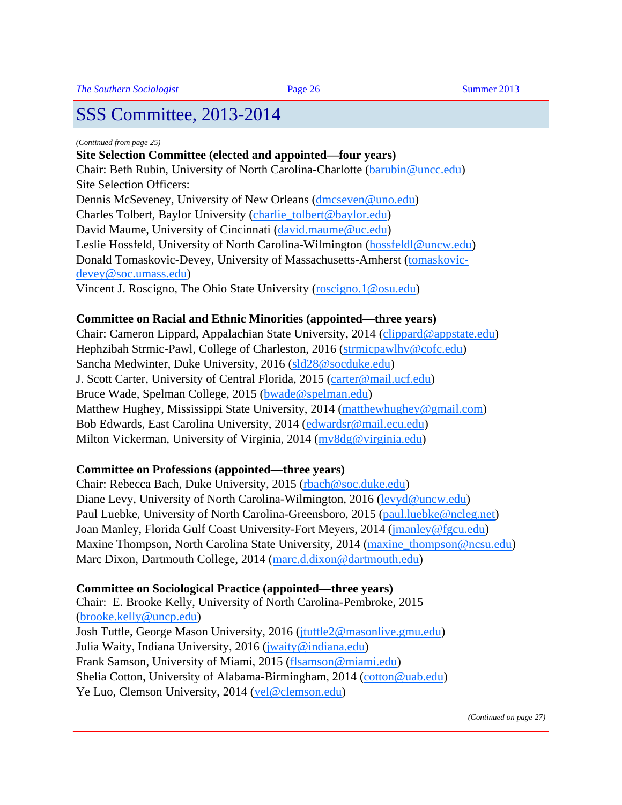#### *(Continued from page 25)*

#### **Site Selection Committee (elected and appointed—four years)**

Chair: Beth Rubin, University of North Carolina-Charlotte (barubin@uncc.edu) Site Selection Officers:

Dennis McSeveney, University of New Orleans (dmcseven@uno.edu) Charles Tolbert, Baylor University [\(charlie\\_tolbert@baylor.edu\)](mailto:charlie_tolbert@baylor.edu)  David Maume, University of Cincinnati ([david.maume@uc.edu\)](mailto:david.maume@uc.edu)  Leslie Hossfeld, University of North Carolina-Wilmington (hossfeldl@uncw.edu) [Donald Tomaskovic-Devey, University of Massachusetts-Amherst \(tomaskovic](mailto:tomaskovic-devey@soc.umass.edu)devey@[soc.umass.edu\)](mailto:tomaskovic-devey@soc.umass.edu)  Vincent J. Roscigno, The Ohio State University (roscigno.1@osu.edu)

#### **Committee on Racial and Ethnic Minorities (appointed—three years)**

Chair: Cameron Lippard, Appalachian State University, 2014 [\(clippard@appstate.edu\)](mailto:clippard@appstate.edu)  Hephzibah Strmic-Pawl, College of Charleston, 2016 [\(strmicpawlhv@cofc.edu\)](mailto:strmicpawlhv@cofc.edu)  Sancha Medwinter, Duke University, 2016 [\(sld28@socduke.edu\)](mailto:sld28@socduke.edu)  J. Scott Carter, University of Central Florida, 2015 ([carter@mail.ucf.edu\)](mailto:carter@mail.ucf.edu)  Bruce Wade, Spelman College, 2015 ([bwade@spelman.edu\)](mailto:bwade@spelman.edu)  Matthew Hughey, Mississippi State University, 2014 (matthewhughey@gmail.com) Bob Edwards, East Carolina University, 2014 ([edwardsr@mail.ecu.edu\)](mailto:edwardsr@mail.ecu.edu)  Milton Vickerman, University of Virginia, 2014 (mv8dg@virginia.edu)

#### **Committee on Professions (appointed—three years)**

Chair: Rebecca Bach, Duke University, 2015 ([rbach@soc.duke.edu\)](mailto:rbach@soc.duke.edu)  Diane Levy, University of North Carolina-Wilmington, 2016 [\(levyd@uncw.edu\)](mailto:levyd@uncw.edu)  Paul Luebke, University of North Carolina-Greensboro, 2015 (paul.luebke@ncleg.net) Joan Manley, Florida Gulf Coast University-Fort Meyers, 2014 [\(jmanley@fgcu.edu\)](mailto:jmanley@fgcu.edu)  Maxine Thompson, North Carolina State University, 2014 (maxine thompson@ncsu.edu) Marc Dixon, Dartmouth College, 2014 [\(marc.d.dixon@dartmouth.edu\)](mailto:marc.d.dixon@dartmouth.edu) 

#### **Committee on Sociological Practice (appointed—three years)**

Chair: E. Brooke Kelly, University of North Carolina-Pembroke, 2015 ([brooke.kelly@uncp.edu\)](mailto:brooke.kelly@uncp.edu)  Josh Tuttle, George Mason University, 2016 ([jtuttle2@masonlive.gmu.edu\)](mailto:jtuttle2@masonlive.gmu.edu)  Julia Waity, Indiana University, 2016 [\(jwaity@indiana.edu\)](mailto:jwaity@indiana.edu)  Frank Samson, University of Miami, 2015 ([flsamson@miami.edu\)](mailto:flsamson@miami.edu)  Shelia Cotton, University of Alabama-Birmingham, 2014 [\(cotton@uab.edu\)](mailto:cotton@uab.edu)  Ye Luo, Clemson University, 2014 (yel@clemson.edu)

*(Continued on page 27)*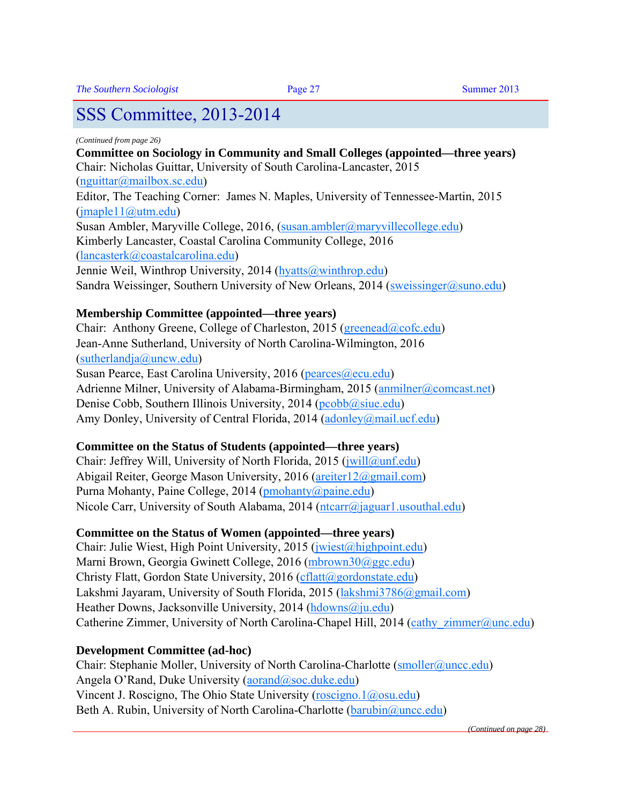#### *(Continued from page 26)*

**Committee on Sociology in Community and Small Colleges (appointed—three years)**  Chair: Nicholas Guittar, University of South Carolina-Lancaster, 2015 ([nguittar@mailbox.sc.edu\)](mailto:nguittar@mailbox.sc.edu)  Editor, The Teaching Corner: James N. Maples, University of Tennessee-Martin, 2015  $(imaple11@utm.edu)$ Susan Ambler, Maryville College, 2016, ([susan.ambler@maryvillecollege.edu\)](mailto:susan.ambler@maryvillecollege.edu)  Kimberly Lancaster, Coastal Carolina Community College, 2016 ([lancasterk@coastalcarolina.edu\)](mailto:lancasterk@coastalcarolina.edu)  Jennie Weil, Winthrop University, 2014 ([hyatts@winthrop.edu\)](mailto:hyatts@winthrop.edu)  Sandra Weissinger, Southern University of New Orleans, 2014 (sweissinger@suno.edu)

#### **Membership Committee (appointed—three years)**

Chair: Anthony Greene, College of Charleston, 2015 (greenead@cofc.edu) Jean-Anne Sutherland, University of North Carolina-Wilmington, 2016 ([sutherlandja@uncw.edu\)](mailto:sutherlandja@uncw.edu)  Susan Pearce, East Carolina University, 2016 (pearces@ecu.edu) Adrienne Milner, University of Alabama-Birmingham, 2015 (anmilner@comcast.net) Denise Cobb, Southern Illinois University, 2014 ( $p \cdot \text{c}$ obb $\textcircled{a}$ siue.edu) Amy Donley, University of Central Florida, 2014 (adonley@mail.ucf.edu)

#### **Committee on the Status of Students (appointed—three years)**

Chair: Jeffrey Will, University of North Florida, 2015 (*jwill@unf.edu*) Abigail Reiter, George Mason University, 2016 (areiter12@gmail.com) Purna Mohanty, Paine College, 2014 [\(pmohanty@paine.edu\)](mailto:pmohanty@paine.edu)  Nicole Carr, University of South Alabama, 2014 ( $ntcarr@jaguar1.usouthal.edu$ )

#### **Committee on the Status of Women (appointed—three years)**

Chair: Julie Wiest, High Point University, 2015 (jwiest@highpoint.edu) Marni Brown, Georgia Gwinett College, 2016 [\(mbrown30@ggc.edu\)](mailto:mbrown30@ggc.edu)  Christy Flatt, Gordon State University, 2016 (cflatt@gordonstate.edu) Lakshmi Jayaram, University of South Florida, 2015 (lakshmi3786@gmail.com) Heather Downs, Jacksonville University, 2014 (hdowns@ju.edu) Catherine Zimmer, University of North Carolina-Chapel Hill, 2014 (cathy zimmer@unc.edu)

#### **Development Committee (ad-hoc)**

Chair: Stephanie Moller, University of North Carolina-Charlotte (smoller@uncc.edu) Angela O'Rand, Duke University (aorand@soc.duke.edu) Vincent J. Roscigno, The Ohio State University [\(roscigno.1@osu.edu\)](mailto:roscigno.1@osu.edu)  Beth A. Rubin, University of North Carolina-Charlotte (barubin@uncc.edu)

*(Continued on page 28)*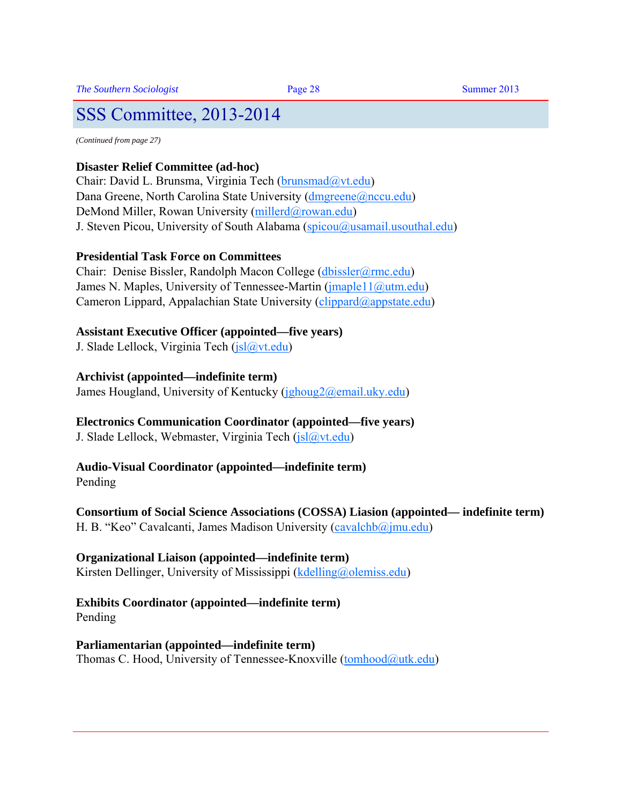*(Continued from page 27)* 

#### **Disaster Relief Committee (ad-hoc)**

Chair: David L. Brunsma, Virginia Tech ([brunsmad@vt.edu\)](mailto:brunsmad@vt.edu)  Dana Greene, North Carolina State University (dmgreene@nccu.edu) DeMond Miller, Rowan University (millerd@rowan.edu) J. Steven Picou, University of South Alabama ( $spinou@usamail.$ usouthal.edu)

#### **Presidential Task Force on Committees**

Chair: Denise Bissler, Randolph Macon College ([dbissler@rmc.edu\)](mailto:dbissler@rmc.edu)  James N. Maples, University of Tennessee-Martin (jmaple11@utm.edu) Cameron Lippard, Appalachian State University (*clippard@appstate.edu*)

#### **Assistant Executive Officer (appointed—five years)**

J. Slade Lellock, Virginia Tech ([jsl@vt.edu\)](mailto:jsl@vt.edu) 

#### **Archivist (appointed—indefinite term)**

James Hougland, University of Kentucky ([jghoug2@email.uky.edu\)](mailto:jghoug2@email.uky.edu) 

#### **Electronics Communication Coordinator (appointed—five years)**

J. Slade Lellock, Webmaster, Virginia Tech ( $|sl@vt.edu\rangle$ )

#### **Audio-Visual Coordinator (appointed—indefinite term)**

Pending

#### **Consortium of Social Science Associations (COSSA) Liasion (appointed— indefinite term)**  H. B. "Keo" Cavalcanti, James Madison University (cavalchb@jmu.edu)

#### **Organizational Liaison (appointed—indefinite term)**

Kirsten Dellinger, University of Mississippi ([kdelling@olemiss.edu\)](mailto:kdelling@olemiss.edu) 

#### **Exhibits Coordinator (appointed—indefinite term)**

Pending

#### **Parliamentarian (appointed—indefinite term)**

Thomas C. Hood, University of Tennessee-Knoxville (tomhood@utk.edu)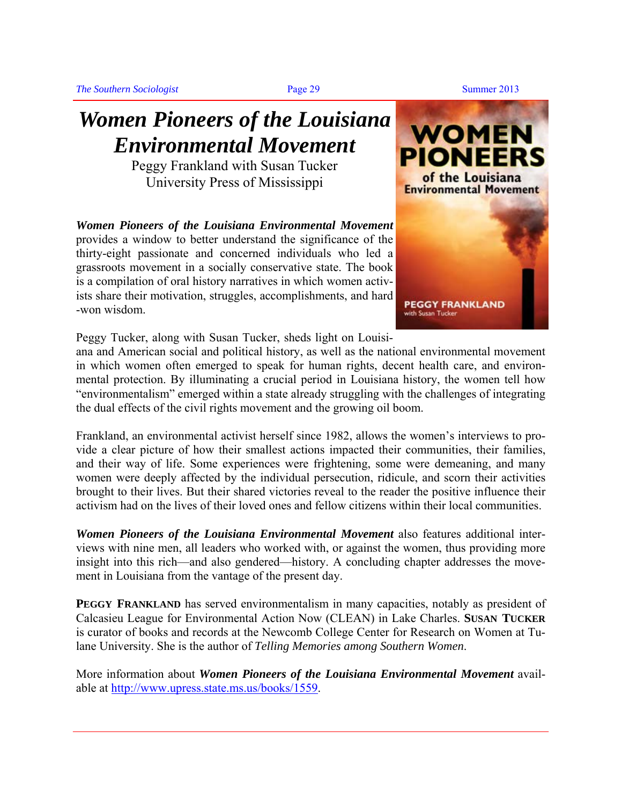## *Women Pioneers of the Louisiana Environmental Movement*

Peggy Frankland with Susan Tucker University Press of Mississippi

*Women Pioneers of the Louisiana Environmental Movement* provides a window to better understand the significance of the thirty-eight passionate and concerned individuals who led a grassroots movement in a socially conservative state. The book is a compilation of oral history narratives in which women activists share their motivation, struggles, accomplishments, and hard -won wisdom.



Peggy Tucker, along with Susan Tucker, sheds light on Louisi-

ana and American social and political history, as well as the national environmental movement in which women often emerged to speak for human rights, decent health care, and environmental protection. By illuminating a crucial period in Louisiana history, the women tell how "environmentalism" emerged within a state already struggling with the challenges of integrating the dual effects of the civil rights movement and the growing oil boom.

Frankland, an environmental activist herself since 1982, allows the women's interviews to provide a clear picture of how their smallest actions impacted their communities, their families, and their way of life. Some experiences were frightening, some were demeaning, and many women were deeply affected by the individual persecution, ridicule, and scorn their activities brought to their lives. But their shared victories reveal to the reader the positive influence their activism had on the lives of their loved ones and fellow citizens within their local communities.

*Women Pioneers of the Louisiana Environmental Movement* also features additional interviews with nine men, all leaders who worked with, or against the women, thus providing more insight into this rich—and also gendered—history. A concluding chapter addresses the movement in Louisiana from the vantage of the present day.

**PEGGY FRANKLAND** has served environmentalism in many capacities, notably as president of Calcasieu League for Environmental Action Now (CLEAN) in Lake Charles. **SUSAN TUCKER** is curator of books and records at the Newcomb College Center for Research on Women at Tulane University. She is the author of *Telling Memories among Southern Women*.

More information about *Women Pioneers of the Louisiana Environmental Movement* available at [http://www.upress.state.ms.us/books/1559.](http://www.upress.state.ms.us/books/1559)